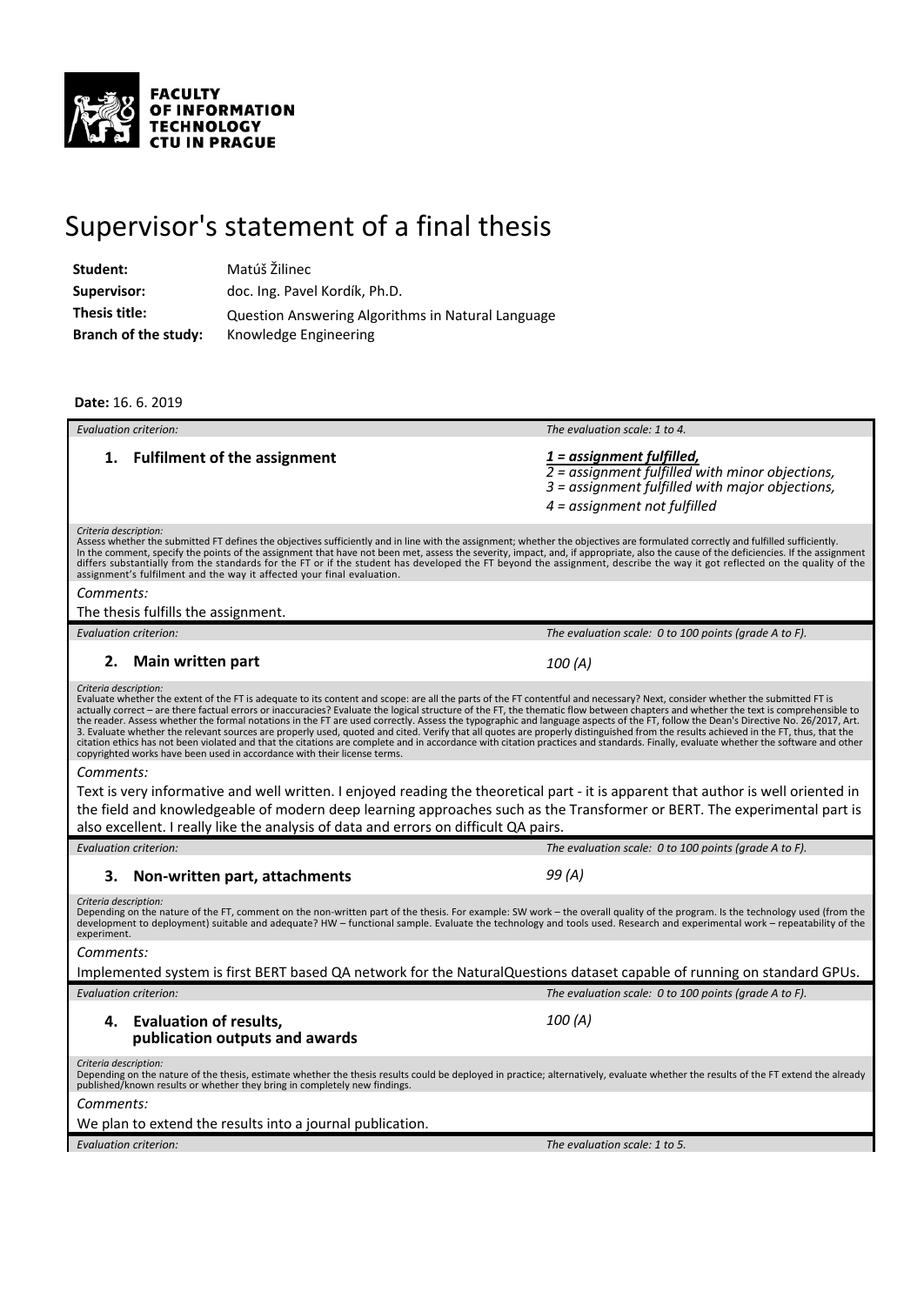

## Supervisor's statement of a final thesis

| Matúš Žilinec                                     |
|---------------------------------------------------|
| doc. Ing. Pavel Kordík, Ph.D.                     |
| Question Answering Algorithms in Natural Language |
| Knowledge Engineering                             |
|                                                   |

## **Date:** 16. 6. 2019

| Evaluation criterion:                                                                                                                                                                                                                                                                                                                                                                                                                                                                                                                                                                                                                                                                                                                                                                                                                                                                                                                                                                                                                        | The evaluation scale: 1 to 4.                                                                                                                                                  |  |
|----------------------------------------------------------------------------------------------------------------------------------------------------------------------------------------------------------------------------------------------------------------------------------------------------------------------------------------------------------------------------------------------------------------------------------------------------------------------------------------------------------------------------------------------------------------------------------------------------------------------------------------------------------------------------------------------------------------------------------------------------------------------------------------------------------------------------------------------------------------------------------------------------------------------------------------------------------------------------------------------------------------------------------------------|--------------------------------------------------------------------------------------------------------------------------------------------------------------------------------|--|
| 1. Fulfilment of the assignment                                                                                                                                                                                                                                                                                                                                                                                                                                                                                                                                                                                                                                                                                                                                                                                                                                                                                                                                                                                                              | 1 = assignment fulfilled,<br>$\overline{2}$ = assignment fulfilled with minor objections,<br>3 = assignment fulfilled with major objections,<br>$4 = assignment not fulfilled$ |  |
| Criteria description:<br>Assess whether the submitted FT defines the objectives sufficiently and in line with the assignment; whether the objectives are formulated correctly and fulfilled sufficiently.<br>In the comment, specify the points of the assignment that have not been met, assess the severity, impact, and, if appropriate, also the cause of the deficiencies. If the assignment<br>differs substantially from the standards for the FT or if the student has developed the FT beyond the assignment, describe the way it got reflected on the quality of the<br>assignment's fulfilment and the way it affected your final evaluation.                                                                                                                                                                                                                                                                                                                                                                                     |                                                                                                                                                                                |  |
| Comments:                                                                                                                                                                                                                                                                                                                                                                                                                                                                                                                                                                                                                                                                                                                                                                                                                                                                                                                                                                                                                                    |                                                                                                                                                                                |  |
| The thesis fulfills the assignment.                                                                                                                                                                                                                                                                                                                                                                                                                                                                                                                                                                                                                                                                                                                                                                                                                                                                                                                                                                                                          |                                                                                                                                                                                |  |
| <b>Evaluation criterion:</b>                                                                                                                                                                                                                                                                                                                                                                                                                                                                                                                                                                                                                                                                                                                                                                                                                                                                                                                                                                                                                 | The evaluation scale: 0 to 100 points (grade A to F).                                                                                                                          |  |
| 2.<br><b>Main written part</b>                                                                                                                                                                                                                                                                                                                                                                                                                                                                                                                                                                                                                                                                                                                                                                                                                                                                                                                                                                                                               | 100 (A)                                                                                                                                                                        |  |
| Criteria description:<br>Evaluate whether the extent of the FT is adequate to its content and scope: are all the parts of the FT contentful and necessary? Next, consider whether the submitted FT is<br>actually correct - are there factual errors or inaccuracies? Evaluate the logical structure of the FT, the thematic flow between chapters and whether the text is comprehensible to<br>the reader. Assess whether the formal notations in the FT are used correctly. Assess the typographic and language aspects of the FT, follow the Dean's Directive No. 26/2017, Art.<br>3. Evaluate whether the relevant sources are properly used, quoted and cited. Verify that all quotes are properly distinguished from the results achieved in the FT, thus, that the<br>citation ethics has not been violated and that the citations are complete and in accordance with citation practices and standards. Finally, evaluate whether the software and other<br>copyrighted works have been used in accordance with their license terms. |                                                                                                                                                                                |  |
| Comments:                                                                                                                                                                                                                                                                                                                                                                                                                                                                                                                                                                                                                                                                                                                                                                                                                                                                                                                                                                                                                                    |                                                                                                                                                                                |  |
| Text is very informative and well written. I enjoyed reading the theoretical part - it is apparent that author is well oriented in<br>the field and knowledgeable of modern deep learning approaches such as the Transformer or BERT. The experimental part is<br>also excellent. I really like the analysis of data and errors on difficult QA pairs.                                                                                                                                                                                                                                                                                                                                                                                                                                                                                                                                                                                                                                                                                       |                                                                                                                                                                                |  |
| <b>Evaluation criterion:</b>                                                                                                                                                                                                                                                                                                                                                                                                                                                                                                                                                                                                                                                                                                                                                                                                                                                                                                                                                                                                                 | The evaluation scale: 0 to 100 points (grade A to F).                                                                                                                          |  |
| Non-written part, attachments<br>3.                                                                                                                                                                                                                                                                                                                                                                                                                                                                                                                                                                                                                                                                                                                                                                                                                                                                                                                                                                                                          | 99 (A)                                                                                                                                                                         |  |
| Criteria description:<br>Depending on the nature of the FT, comment on the non-written part of the thesis. For example: SW work – the overall quality of the program. Is the technology used (from the<br>development to deployment) suitable and adequate? HW - functional sample. Evaluate the technology and tools used. Research and experimental work - repeatability of the<br>experiment.                                                                                                                                                                                                                                                                                                                                                                                                                                                                                                                                                                                                                                             |                                                                                                                                                                                |  |
| Comments:                                                                                                                                                                                                                                                                                                                                                                                                                                                                                                                                                                                                                                                                                                                                                                                                                                                                                                                                                                                                                                    |                                                                                                                                                                                |  |
| Implemented system is first BERT based QA network for the NaturalQuestions dataset capable of running on standard GPUs.                                                                                                                                                                                                                                                                                                                                                                                                                                                                                                                                                                                                                                                                                                                                                                                                                                                                                                                      |                                                                                                                                                                                |  |
| <b>Evaluation criterion:</b>                                                                                                                                                                                                                                                                                                                                                                                                                                                                                                                                                                                                                                                                                                                                                                                                                                                                                                                                                                                                                 | The evaluation scale: 0 to 100 points (grade A to F).                                                                                                                          |  |
| <b>Evaluation of results,</b><br>4.<br>publication outputs and awards                                                                                                                                                                                                                                                                                                                                                                                                                                                                                                                                                                                                                                                                                                                                                                                                                                                                                                                                                                        | 100 (A)                                                                                                                                                                        |  |
| Criteria description:<br>Depending on the nature of the thesis, estimate whether the thesis results could be deployed in practice; alternatively, evaluate whether the results of the FT extend the already<br>published/known results or whether they bring in completely new findings.                                                                                                                                                                                                                                                                                                                                                                                                                                                                                                                                                                                                                                                                                                                                                     |                                                                                                                                                                                |  |
| Comments:                                                                                                                                                                                                                                                                                                                                                                                                                                                                                                                                                                                                                                                                                                                                                                                                                                                                                                                                                                                                                                    |                                                                                                                                                                                |  |
| We plan to extend the results into a journal publication.                                                                                                                                                                                                                                                                                                                                                                                                                                                                                                                                                                                                                                                                                                                                                                                                                                                                                                                                                                                    |                                                                                                                                                                                |  |
| Evaluation criterion:                                                                                                                                                                                                                                                                                                                                                                                                                                                                                                                                                                                                                                                                                                                                                                                                                                                                                                                                                                                                                        | The evaluation scale: 1 to 5.                                                                                                                                                  |  |